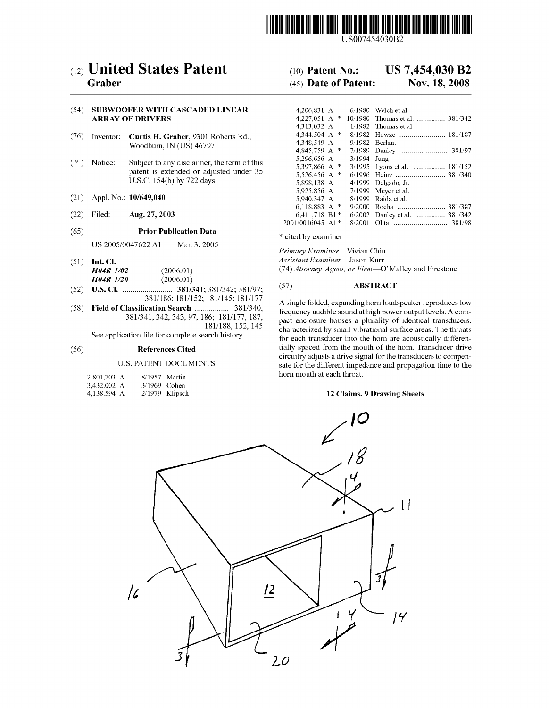

USOO7454030B2

# (12) United States Patent

# Graber

# (54) SUBWOOFER WITH CASCADED LINEAR ARRAY OF DRIVERS

- (76) Inventor: Curtis H. Graber, 9301 Roberts Rd., Woodburn, IN (US) 46797
- (\*) Notice: Subject to any disclaimer, the term of this patent is extended or adjusted under 35 U.S.C. 154(b) by 722 days.
- (21) Appl. No.: 10/649,040
- (22) Filed: Aug. 27, 2003
- (65) Prior Publication Data

US 2005/0047622 A1 Mar. 3, 2005

- (51) Int. Cl. H04R 1/02 (2006.01)<br>H04R 1/20 (2006.01)  $H04R$   $1/20$
- (52) U.S. Cl. ......................... 381/341; 381/342: 381/97; 381/186; 181/152; 181/145; 181/177
- (58) Field of Classification Search .................. 381/340, 381/341, 342, 343,97, 186; 181/177, 187, 181/188, 152, 145

See application file for complete search history.

# (56) References Cited

# U.S. PATENT DOCUMENTS

| 2,801,703 A | 8/1957 Martin |                  |
|-------------|---------------|------------------|
| 3,432,002 A | 3/1969 Cohen  |                  |
| 4,138,594 A |               | $2/1979$ Klipsch |

#### US 7.454,030 B2 (10) Patent No.:

#### Nov. 18, 2008 (45) Date of Patent:

| 4,206,831 A      |               | 6/1980  | Welch et al.                 |
|------------------|---------------|---------|------------------------------|
| 4.227.051 A      | 咏             | 10/1980 | Thomas et al.  381/342       |
| 4.313.032 A      |               | 1/1982  | Thomas et al.                |
| 4.344.504 A      | 咏             | 8/1982  |                              |
| 4.348.549 A      |               | 9/1982  | Berlant                      |
| 4,845,759 A      | 永             | 7/1989  |                              |
| 5,296,656 A      |               | 3/1994  | Jung                         |
| 5.397.866 A      | $\ast$        |         | 3/1995 Lyons et al.  181/152 |
| 5,526,456 A      | $\frac{1}{2}$ | 6/1996  |                              |
| 5.898.138 A      |               | 4/1999  | Delgado, Jr.                 |
| 5,925,856 A      |               | 7/1999  | Meyer et al.                 |
| 5.940.347 A      |               | 8/1999  | Raida et al.                 |
| 6.118.883 A      | $\frac{1}{2}$ | 9/2000  |                              |
| 6.411.718 B1*    |               | 6/2002  | Danley et al.  381/342       |
| 2001/0016045 A1* |               | 8/2001  | 381/98                       |
|                  |               |         |                              |

\* cited by examiner

Primary Examiner-Vivian Chin Assistant Examiner Jason Kurr

(74) Attorney, Agent, or Firm—O'Malley and Firestone

# (57) ABSTRACT

A single folded, expanding horn loudspeaker reproduces low frequency audible Sound at high power output levels. A com pact enclosure houses a plurality of identical transducers, characterized by small vibrational surface areas. The throats for each transducer into the horn are acoustically differen tially spaced from the mouth of the horn. Transducer drive circuitry adjusts a drive signal for the transducers to compen sate for the different impedance and propagation time to the horn mouth at each throat.

# 12 Claims, 9 Drawing Sheets

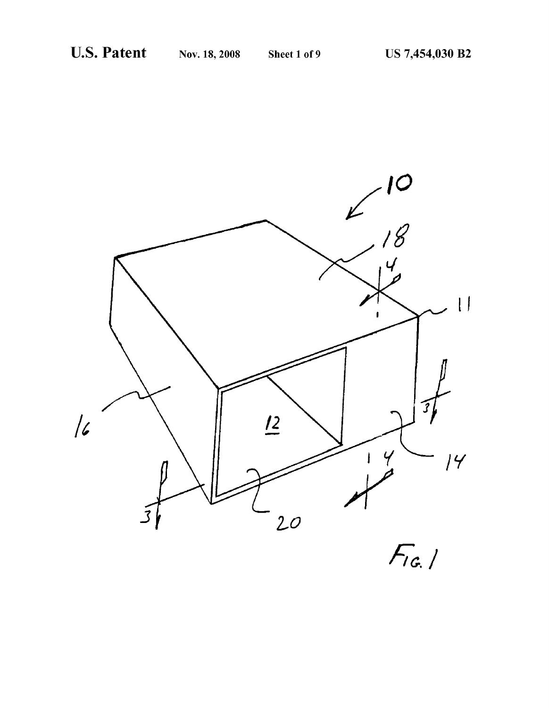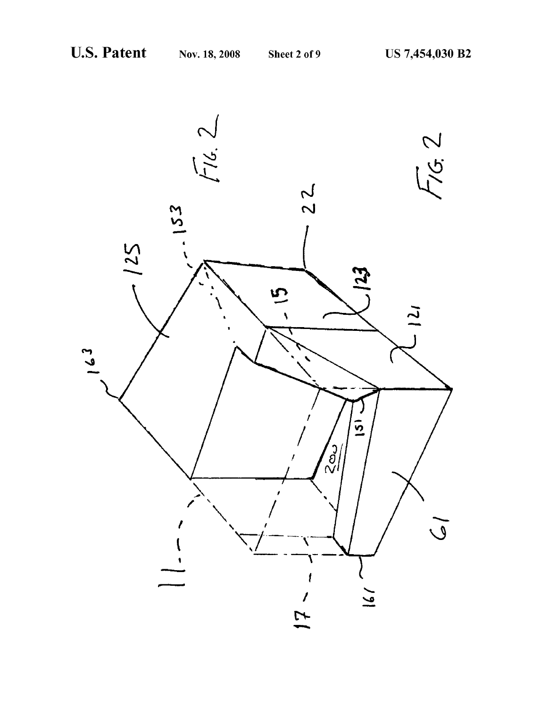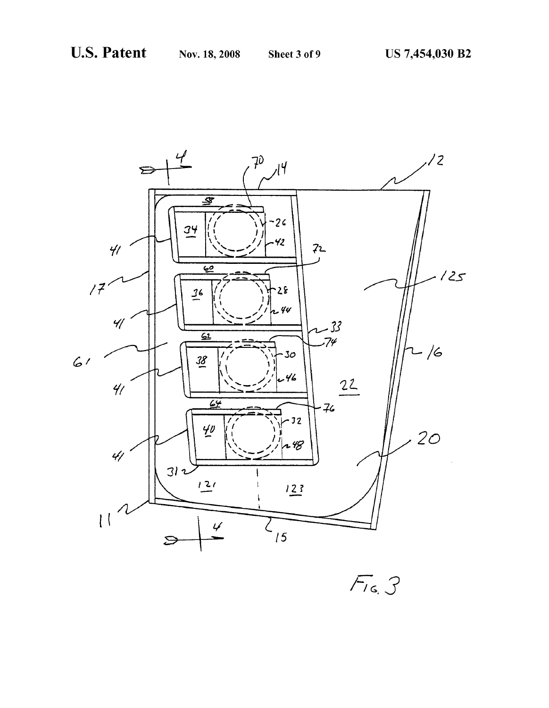

 $F_{16}$   $3$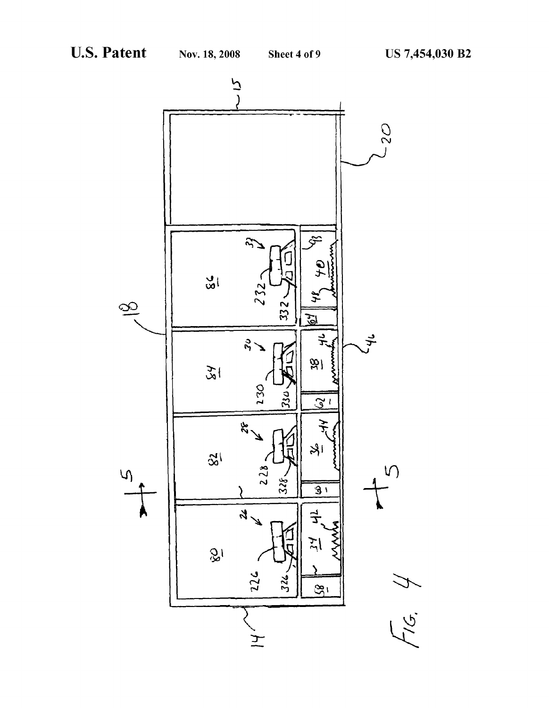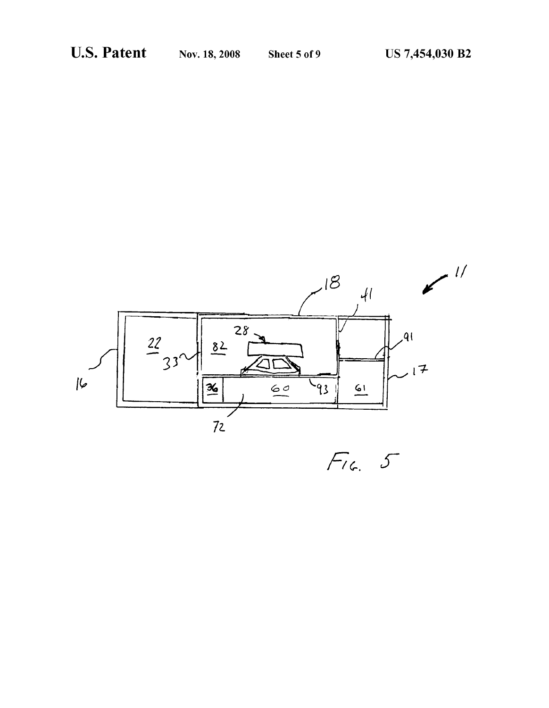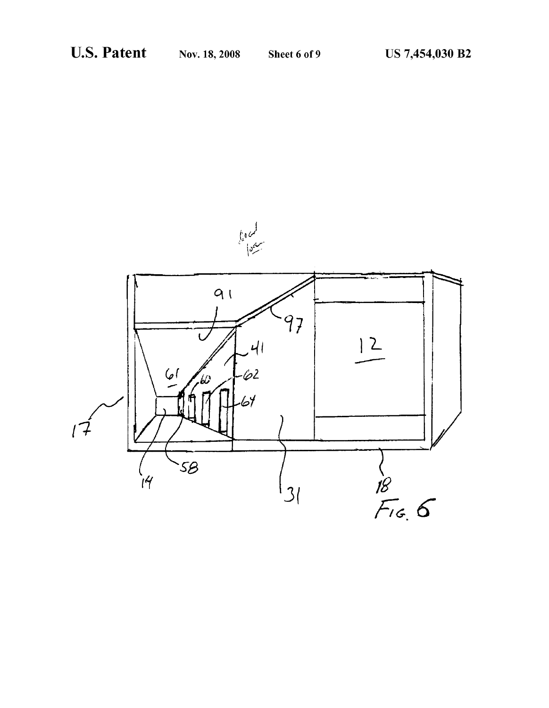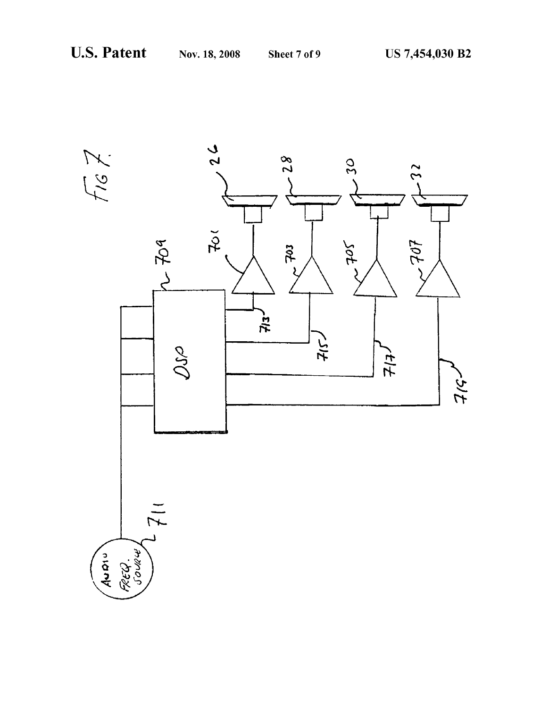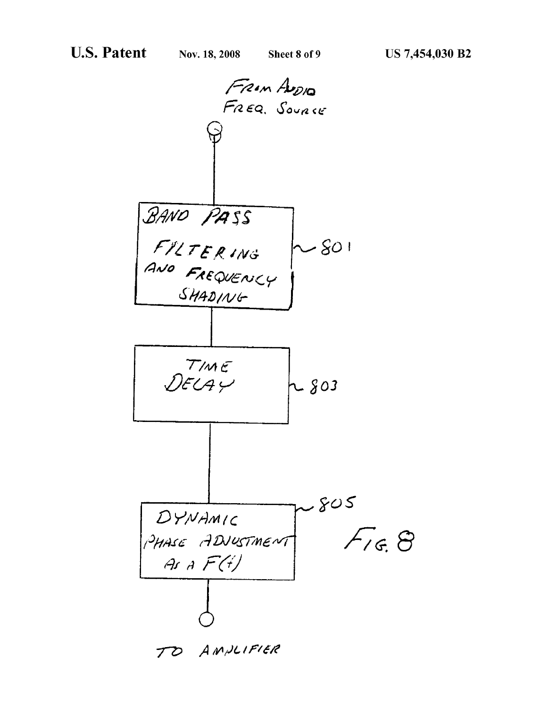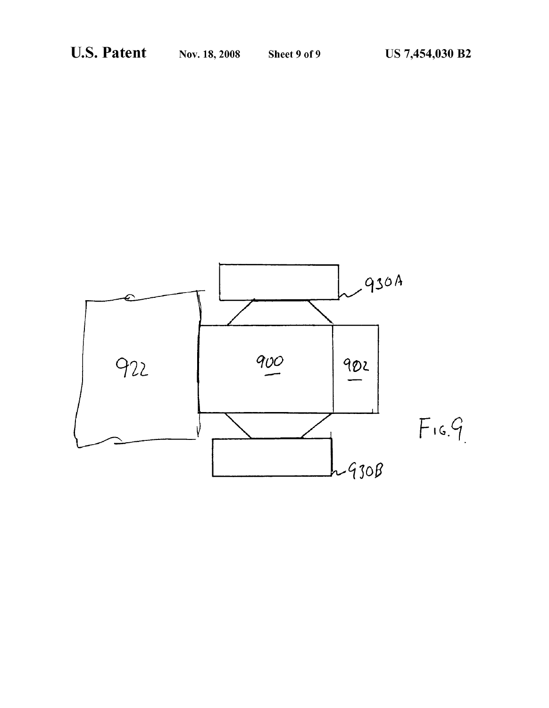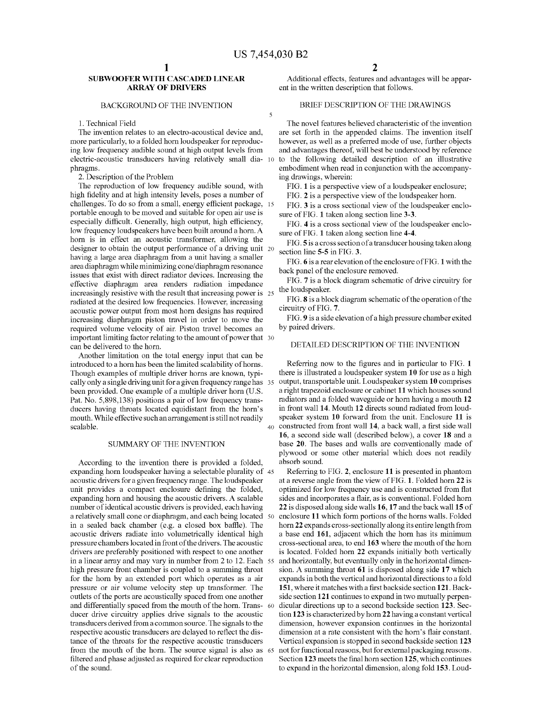$\overline{\mathbf{S}}$ 

# SUBWOOFER WITH CASCADED LINEAR ARRAY OF DRIVERS

#### BACKGROUND OF THE INVENTION

## 1. Technical Field

The invention relates to an electro-acoustical device and, more particularly, to a folded horn loudspeaker for reproduc ing low frequency audible sound at high output levels from electric-acoustic transducers having relatively small dia- 10 phragms.

2. Description of the Problem

The reproduction of low frequency audible sound, with high fidelity and at high intensity levels, poses a number of challenges. To do so from a small, energy efficient package, 15 portable enough to be moved and suitable for open air use is especially difficult. Generally, high output, high efficiency, low frequency loudspeakers have been built around a horn. A horn is in effect an acoustic transformer, allowing the designer to obtain the output performance of a driving unit 20 having a large area diaphragm from a unit having a smaller area diaphragm while minimizing cone? diaphragm resonance issues that exist with direct radiator devices. Increasing the effective diaphragm area renders radiation impedance effective diaphragm area renders radiation impedance increasingly resistive with the result that increasing power is 25 radiated at the desired low frequencies. However, increasing acoustic power output from most horn designs has required increasing diaphragm piston travel in order to move the required volume velocity of air. Piston travel becomes an important limiting factor relating to the amount of power that 30<br>can be delivered to the horn.

Another limitation on the total energy input that can be introduced to a horn has been the limited scalability of horns. I hough examples of multiple driver horns are known, typi-<br>cally only a single driving unit for a given frequency range has 35 been provided. One example of a multiple driver horn (U.S. Pat. No. 5,898,138) positions a pair of low frequency trans ducers having throats located equidistant from the horn's mouth. While effective such an arrangement is still not readily scalable.

## SUMMARY OF THE INVENTION

According to the invention there is provided a folded, expanding horn loudspeaker having a selectable plurality of 45 acoustic drivers for a given frequency range. The loudspeaker unit provides a compact enclosure defining the folded, expanding horn and housing the acoustic drivers. A scalable number of identical acoustic drivers is provided, each having a relatively small cone or diaphragm, and each being located 50 in a sealed back chamber (e.g. a closed box baffle). The acoustic drivers radiate into volumetrically identical high pressure chambers located in front of the drivers. The acoustic drivers are preferably positioned with respect to one another in a linear array and may vary in number from 2 to 12. Each 55 high pressure front chamber is coupled to a summing throat for the horn by an extended port which operates as a air pressure or air Volume Velocity step up transformer. The outlets of the ports are acoustically spaced from one another and differentially spaced from the mouth of the horn. Trans- 60 ducer drive circuitry applies drive signals to the acoustic transducers derived from a common source. The signals to the respective acoustic transducers are delayed to reflect the dis tance of the throats for the respective acoustic transducers from the mouth of the horn. The Source signal is also as 65 filtered and phase adjusted as required for clear reproduction of the sound.

Additional effects, features and advantages will be appar ent in the written description that follows.

# BRIEF DESCRIPTION OF THE DRAWINGS

The novel features believed characteristic of the invention are set forth in the appended claims. The invention itself however, as well as a preferred mode of use, further objects and advantages thereof, will best be understood by reference to the following detailed description of an illustrative embodiment when read in conjunction with the accompanying drawings, wherein:

FIG. 1 is a perspective view of a loudspeaker enclosure;

FIG. 2 is a perspective view of the loudspeaker horn.

FIG. 3 is a cross sectional view of the loudspeaker enclo sure of FIG. 1 taken along section line 3-3.

FIG. 4 is a cross sectional view of the loudspeaker enclo sure of FIG. 1 taken along section line 4-4.

FIG.5 is a cross section of a transducer housing taken along section line 5-5 in FIG. 3.

FIG. 6 is a rear elevation of the enclosure of FIG. 1 with the back panel of the enclosure removed.

FIG. 7 is a block diagram schematic of drive circuitry for the loudspeaker.

FIG. 8 is a block diagram schematic of the operation of the circuitry of FIG. 7.

FIG.9 is a side elevation of a high pressure chamber exited by paired drivers.

# DETAILED DESCRIPTION OF THE INVENTION

40 constructed from front wall 14, a back wall, a first side wall Referring now to the figures and in particular to FIG. 1 there is illustrated a loudspeaker system 10 for use as a high output, transportable unit. Loudspeaker system 10 comprises a right trapezoid enclosure or cabinet 11 which houses sound radiators and a folded waveguide or horn having a mouth 12 in front wall 14. Mouth 12 directs sound radiated from loud speaker system 10 forward from the unit. Enclosure 11 is 16, a second side wall (described below), a cover 18 and a base 20. The bases and walls are conventionally made of plywood or some other material which does not readily absorb sound.

Referring to FIG. 2, enclosure 11 is presented in phantom at a reverse angle from the view of FIG. 1. Folded horn 22 is optimized for low frequency use and is constructed from flat sides and incorporates a flair, as is conventional. Folded horn 22 is disposed along side walls 16, 17 and the back wall 15 of enclosure 11 which form portions of the horns walls. Folded horn 22 expands cross-sectionally along its entire length from a base end 161, adjacent which the horn has its minimum cross-sectional area, to end 163 where the mouth of the horn is located. Folded horn 22 expands initially both vertically and horizontally, but eventually only in the horizontal dimen sion. A summing throat 61 is disposed along side 17 which expands in both the vertical and horizontal directions to a fold 151, where it matches with a first backside section 121. Back side section 121 continues to expand in two mutually perpen dicular directions up to a second backside section 123. Sec tion 123 is characterized by horn 22 having a constant vertical dimension, however expansion continues in the horizontal dimension at a rate consistent with the horn's flair constant. Vertical expansion is stopped in second backside section 123 not for functional reasons, but for external packaging reasons. Section 123 meets the final horn section 125, which continues to expand in the horizontal dimension, along fold 153. Loud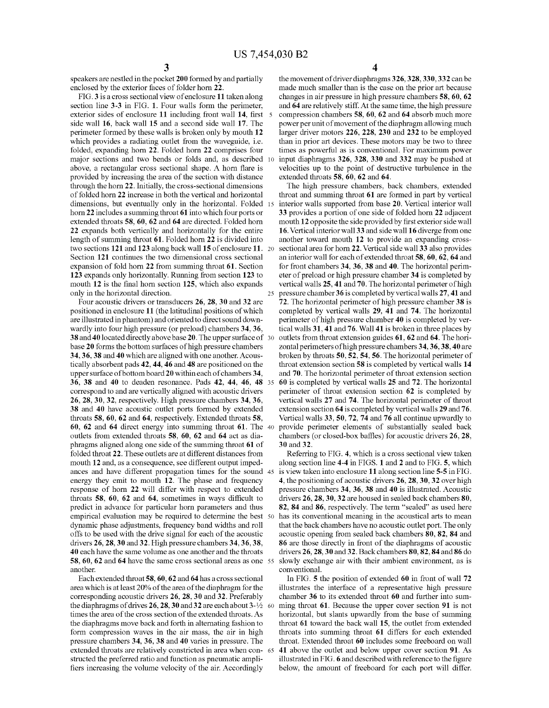speakers are nestled in the pocket 200 formed by and partially enclosed by the exterior faces of folder horn 22.<br>FIG. 3 is a cross sectional view of enclosure 11 taken along

section line  $3-3$  in FIG. 1. Four walls form the perimeter, exterior sides of enclosure 11 including front wall 14, first 5 side wall 16, back wall 15 and a second side wall 17. The perimeter formed by these walls is broken only by mouth 12 which provides a radiating outlet from the waveguide, i.e. folded, expanding horn 22. Folded horn 22 comprises four major sections and two bends or folds and, as described 10 above, a rectangular cross sectional shape. A horn flare is provided by increasing the area of the section with distance through the horn 22. Initially, the cross-sectional dimensions of folded horn 22 increase in both the vertical and horizontal dimensions, but eventually only in the horizontal. Folded 15 horn 22 includes a summing throat 61 into which four ports or extended throats 58, 60, 62 and 64 are directed. Folded horn 22 expands both vertically and horizontally for the entire length of summing throat 61. Folded horn 22 is divided into two sections 121 and 123 along back wall 15 of enclosure 11. 20 Section 121 continues the two dimensional cross sectional expansion of fold horn 22 from summing throat 61. Section 123 expands only horizontally. Running from section 123 to mouth 12 is the final horn section 125, which also expands only in the horizontal direction. 25

Four acoustic drivers or transducers 26, 28, 30 and 32 are positioned in enclosure 11 (the latitudinal positions of which are illustrated in phantom) and oriented to direct sound down wardly into four high pressure (or preload) chambers 34, 36, 38 and 40 located directly above base20. The upper surface of 30 base 20 forms the bottom surfaces of high pressure chambers 34, 36,38 and 40 which are aligned with one another. Acous tically absorbent pads 42, 44, 46 and 48 are positioned on the upper surface of bottom board 20 within each of chambers 34, 36, 38 and 40 to deaden resonance. Pads 42, 44, 46, 48 35 correspond to and are vertically aligned with acoustic drivers 26, 28, 30, 32, respectively. High pressure chambers 34, 36, 38 and 40 have acoustic outlet ports formed by extended throats 58, 60, 62 and 64, respectively. Extended throats 58, 60, 62 and 64 direct energy into summing throat 61. The 40 outlets from extended throats 58, 60, 62 and 64 act as dia phragms aligned along one side of the Summing throat 61 of folded throat 22. These outlets are at different distances from mouth 12 and, as a consequence, see different output imped ances and have different propagation times for the sound 45 energy they emit to mouth 12. The phase and frequency response of horn 22 will differ with respect to extended throats 58, 60, 62 and 64, sometimes in ways difficult to predict in advance for particular horn parameters and thus empirical evaluation may be required to determine the best 50 dynamic phase adjustments, frequency band widths and roll offs to be used with the drive signal for each of the acoustic drivers 26, 28, 30 and 32. High pressure chambers 34, 36,38, 40 each have the same volume as one another and the throats 58, 60, 62 and 64 have the same cross sectional areas as one 55 another.

Each extended throat 58, 60, 62 and 64 has across sectional area which is at least 20% of the area of the diaphragm for the corresponding acoustic drivers 26, 28, 30 and 32. Preferably the diaphragms of drives  $26, 28, 30$  and  $32$  are each about  $3-\frac{1}{2}$  60 times the area of the cross section of the extended throats. As the diaphragms move back and forth in alternating fashion to form compression waves in the air mass, the air in high pressure chambers 34, 36, 38 and 40 varies in pressure. The extended throats are relatively constricted in area when con- 65 structed the preferred ratio and function as pneumatic amplifiers increasing the volume velocity of the air. Accordingly

4

the movement of driver diaphragms 326, 328, 330, 332 can be made much smaller than is the case on the prior art because changes in air pressure in high pressure chambers 58, 60, 62 and 64 are relatively stiff. At the same time, the high pressure compression chambers 58, 60, 62 and 64 absorb much more power per unit of movement of the diaphragm allowing much larger driver motors 226, 228, 230 and 232 to be employed than in prior art devices. These motors may be two to three times as powerful as is conventional. For maximum power input diaphragms 326, 328, 330 and 332 may be pushed at velocities up to the point of destructive turbulence in the extended throats 58, 60, 62 and 64.

The high pressure chambers, back chambers, extended throat and summing throat 61 are formed in part by vertical interior walls supported from base 20. Vertical interior wall 33 provides a portion of one side of folded horn 22 adjacent mouth 12 opposite the side provided by first exterior side wall 16. Vertical interior wall 33 and side wall 16 diverge from one another toward mouth 12 to provide an expanding cross sectional area for horn 22. Vertical side wall 33 also provides an interior wall for each of extended throat 58, 60, 62, 64 and for front chambers 34, 36, 38 and 40. The horizontal perim eter of preload or high pressure chamber 34 is completed by vertical walls 25, 41 and 70. The horizontal perimeter of high pressure chamber 36 is completed by vertical walls 27, 41 and 72. The horizontal perimeter of high pressure chamber 38 is completed by vertical walls 29, 41 and 74. The horizontal perimeter of high pressure chamber 40 is completed by ver tical walls 31, 41 and 76. Wall 41 is broken in three places by outlets from throat extension guides 61, 62 and 64. The hori zontal perimeters of high pressure chambers 34, 36, 38, 40 are broken by throats 50, 52, 54, 56. The horizontal perimeter of throat extension section 58 is completed by vertical walls 14 and 70. The horizontal perimeter of throat extension section 60 is completed by vertical walls 25 and 72. The horizontal perimeter of throat extension section 62 is completed by vertical walls 27 and 74. The horizontal perimeter of throat extension section 64 is completed by vertical walls 29 and 76. Vertical walls 33, 50, 72, 74 and 76 all continue upwardly to provide perimeter elements of substantially sealed back chambers (or closed-box baffles) for acoustic drivers 26, 28. 30 and 32.

Referring to FIG. 4, which is a cross sectional view taken along section line 4-4 in FIGS. 1 and 2 and to FIG. 5, which is view taken into enclosure 11 along section line 5-5 in FIG. 4, the positioning of acoustic drivers 26, 28, 30, 32 over high pressure chambers 34, 36, 38 and 40 is illustrated. Acoustic drivers 26, 28, 30, 32 are housed in sealed back chambers 80, 82, 84 and 86, respectively. The term "sealed" as used here has its conventional meaning in the acoustical arts to mean that the back chambers have no acoustic outlet port. The only acoustic opening from sealed back chambers 80, 82, 84 and 86 are those directly in front of the diaphragms of acoustic drivers 26, 28, 30 and 32. Back chambers 80, 82,84 and 86 do slowly exchange air with their ambient environment, as is conventional.

In FIG. 5 the position of extended 60 in front of wall 72 illustrates the interface of a representative high pressure chamber 36 to its extended throat 60 and further into sum ming throat 61. Because the upper cover section 91 is not horizontal, but slants upwardly from the base of summing throat 61 toward the back wall 15, the outlet from extended throats into summing throat 61 differs for each extended throat. Extended throat 60 includes some freeboard on wall 41 above the outlet and below upper cover section 91. As illustrated in FIG. 6 and described with reference to the figure below, the amount of freeboard for each port will differ.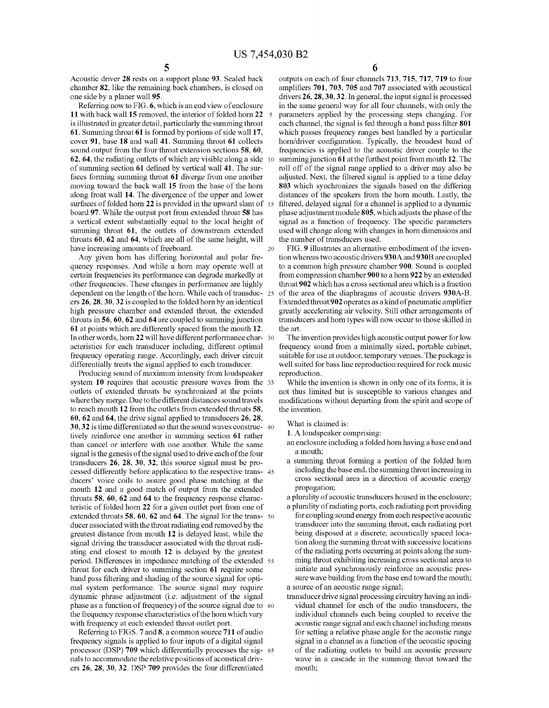Acoustic driver 28 rests on a support plane 93. Sealed back chamber 82, like the remaining back chambers, is closed on one side by a planer wall 95.

Referring now to FIG. 6, which is an end view of enclosure 11 with back wall 15 removed, the interior of folded horn 22 5 is illustrated in greater detail, particularly the summing throat 61. Summing throat 61 is formed by portions of side wall 17, cover 91, base 18 and wall 41. Summing throat 61 collects sound output from the four throat extension sections **58**, **60**, 62, 64, the radiating outlets of which are visible along a side 10 of summing section 61 defined by vertical wall 41. The sur faces forming summing throat 61 diverge from one another moving toward the back wall 15 from the base of the horn along front wall 14. The divergence of the upper and lower surfaces of folded horn 22 is provided in the upward slant of 15 board 97. While the output port from extended throat 58 has a vertical extent substantially equal to the local height of summing throat 61, the outlets of downstream extended throats 60, 62 and 64, which are all of the same height, will have increasing amounts of freeboard. 20

Any given horn has differing horizontal and polar fre quency responses. And while a horn may operate well at certain frequencies its performance can degrade markedly at other frequencies. These changes in performance are highly dependent on the length of the horn. While each of transduc- 25 ers 26, 28, 30, 32 is coupled to the folded horn by an identical high pressure chamber and extended throat, the extended throats in 56,60, 62 and 64 are coupled to summing junction 61 at points which are differently spaced from the mouth 12. In other words, horn 22 will have different performance characteristics for each transducer including, different optimal frequency operating range. Accordingly, each driver circuit differentially treats the signal applied to each transducer.

Producing sound of maximum intensity from loudspeaker system 10 requires that acoustic pressure waves from the 35 outlets of extended throats be synchronized at the points where they merge. Due to the different distances sound travels to reach mouth 12 from the outlets from extended throats 58, 60, 62 and 64, the drive signal applied to transducers 26, 28. 30, 32 is time differentiated so that the sound waves construc- 40 tively reinforce one another in summing section 61 rather than cancel or interfere with one another. While the same signal is the genesis of the signal used to drive each of the four transducers  $26$ ,  $28$ ,  $30$ ,  $32$ , this source signal must be processed differently before application to the respective trans- 45 ducers' Voice coils to assure good phase matching at the mouth 12 and a good match of output from the extended throats 58, 60, 62 and 64 to the frequency response charac teristic of folded horn 22 for a given outlet port from one of extended throats 58, 60, 62 and 64. The signal for the trans- 50 ducer associated with the throat radiating end removed by the greatest distance from mouth 12 is delayed least, while the signal driving the transducer associated with the throat radi ating end closest to mouth 12 is delayed by the greatest period. Differences in impedance matching of the extended 55 throat for each driver to summing section 61 require some band pass filtering and shading of the source signal for optimal system performance. The source signal may require dynamic phrase adjustment (i.e. adjustment of the signal phase as a function of frequency) of the source signal due to 60 the frequency response characteristics of the horn which vary with frequency at each extended throat outlet port.

Referring to FIGS. 7 and 8, a common source 711 of audio frequency signals is applied to four inputs of a digital signal processor (DSP) 709 which differentially processes the sig- 65 nals to accommodate the relative positions of acoustical driv ers 26, 28, 30, 32. DSP 709 provides the four differentiated

outputs on each of four channels 713, 715, 717, 719 to four amplifiers 701, 703, 705 and 707 associated with acoustical drivers 26, 28, 30, 32. In general, the input signal is processed in the same general way for all four channels, with only the parameters applied by the processing steps changing. For each channel, the signal is fed through a band pass filter 801 which passes frequency ranges best handled by a particular horn/driver configuration. Typically, the broadest band of frequencies is applied to the acoustic driver couple to the summing junction 61 at the furthest point from mouth 12. The roll off of the signal range applied to a driver may also be adjusted. Next, the filtered signal is applied to a time delay 803 which synchronizes the signals based on the differing distances of the speakers from the horn mouth. Lastly, the filtered, delayed signal for a channel is applied to a dynamic phase adjustment module 805, which adjusts the phase of the signal as a function of frequency. The specific parameters used will change along with changes in horn dimensions and the number of transducers used.

FIG. 9 illustrates an alternative embodiment of the inven tion whereas two acoustic drivers 930A and 930B are coupled to a common high pressure chamber 900. Sound is coupled from compression chamber 900 to a horn 922 by an extended throat 902 which has across sectional area which is a fraction of the area of the diaphragms of acoustic drivers 930A-B.<br>Extended throat 902 operates as a kind of pneumatic amplifier greatly accelerating air velocity. Still other arrangements of transducers and horn types will now occur to those skilled in the art.

The invention provides high acoustic output power for low frequency sound from a minimally sized, portable cabinet, suitable for use at outdoor, temporary venues. The package is well suited for bass line reproduction required for rock music reproduction.

While the invention is shown in only one of its forms, it is not thus limited but is susceptible to various changes and modifications without departing from the spirit and scope of the invention.

What is claimed is:

1. A loudspeaker comprising:

an enclosure including a folded horn having a base end and a mouth;

a summing throat forming a portion of the folded horn including the base end, the summing throat increasing in cross sectional area in a direction of acoustic energy propagation;

a plurality of acoustic transducers housed in the enclosure;

- a plurality of radiating ports, each radiating port providing for coupling sound energy from each respective acoustic<br>transducer into the summing throat, each radiating port being disposed at a discrete, acoustically spaced location along the Summing throat with Successive locations of the radiating ports occurring at points along the Sum ming throat exhibiting increasing cross sectional area to initiate and synchronously reinforce an acoustic pres sure wave building from the base end toward the mouth; a source of an acoustic range signal;
- transducer drive signal processing circuitry having an indi vidual channel for each of the audio transducers, the individual channels each being coupled to receive the acoustic range signal and each channel including means for setting a relative phase angle for the acoustic range signal in a channel as a function of the acoustic spacing of the radiating outlets to build an acoustic pressure wave in a cascade in the Summing throat toward the mouth;